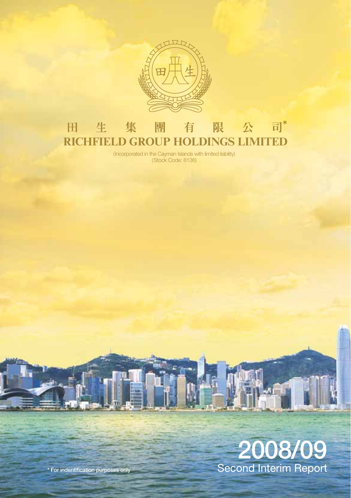

## 有限公司\* 田生 集團 **RICHFIELD GROUP HOLDINGS LIMITED**

(incorporated in the Cayman Islands with limited liability) (Stock Code: 8136)

# **2008/09** Second Interim Report

Л

**\* For indentification purposes only**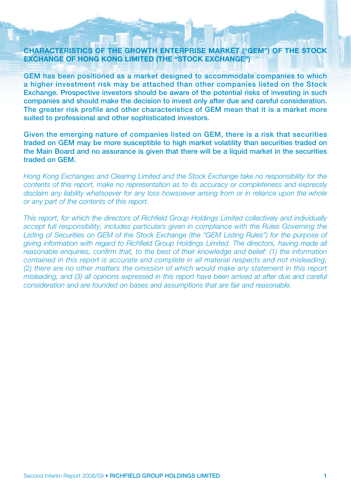#### **CHARACTERISTICS OF THE GROWTH ENTERPRISE MARKET ("GEM") OF THE STOCK EXCHANGE OF HONG KONG LIMITED (THE "STOCK EXCHANGE")**

**GEM has been positioned as a market designed to accommodate companies to which a higher investment risk may be attached than other companies listed on the Stock Exchange. Prospective investors should be aware of the potential risks of investing in such companies and should make the decision to invest only after due and careful consideration. The greater risk profile and other characteristics of GEM mean that it is a market more suited to professional and other sophisticated investors.**

**Given the emerging nature of companies listed on GEM, there is a risk that securities traded on GEM may be more susceptible to high market volatility than securities traded on the Main Board and no assurance is given that there will be a liquid market in the securities traded on GEM.**

Hong Kong Exchanges and Clearing Limited and the Stock Exchange take no responsibility for the contents of this report, make no representation as to its accuracy or completeness and expressly disclaim any liability whatsoever for any loss howsoever arising from or in reliance upon the whole or any part of the contents of this report.

This report, for which the directors of Richfield Group Holdings Limited collectively and individually accept full responsibility, includes particulars given in compliance with the Rules Governing the Listing of Securities on GEM of the Stock Exchange (the "GEM Listing Rules") for the purpose of giving information with regard to Richfield Group Holdings Limited. The directors, having made all reasonable enquiries, confirm that, to the best of their knowledge and belief: (1) the information contained in this report is accurate and complete in all material respects and not misleading; (2) there are no other matters the omission of which would make any statement in this report misleading; and (3) all opinions expressed in this report have been arrived at after due and careful consideration and are founded on bases and assumptions that are fair and reasonable.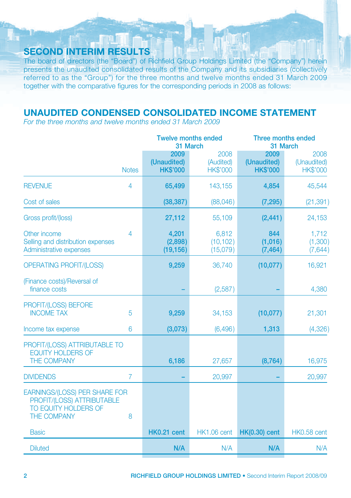## **SECOND INTERIM RESULTS**

The board of directors (the "Board") of Richfield Group Holdings Limited (the "Company") herein presents the unaudited consolidated results of the Company and its subsidiaries (collectively referred to as the "Group") for the three months and twelve months ended 31 March 2009 together with the comparative figures for the corresponding periods in 2008 as follows:

n T

## **UNAUDITED CONDENSED CONSOLIDATED INCOME STATEMENT**

For the three months and twelve months ended 31 March 2009

|                                                                                                                |                                        | <b>Twelve months ended</b><br>31 March | Three months ended<br>31 March         |                                        |  |
|----------------------------------------------------------------------------------------------------------------|----------------------------------------|----------------------------------------|----------------------------------------|----------------------------------------|--|
| <b>Notes</b>                                                                                                   | 2009<br>(Unaudited)<br><b>HK\$'000</b> | 2008<br>(Audited)<br><b>HK\$'000</b>   | 2009<br>(Unaudited)<br><b>HK\$'000</b> | 2008<br>(Unaudited)<br><b>HK\$'000</b> |  |
| <b>REVENUE</b><br>$\overline{4}$                                                                               | 65,499                                 | 143,155                                | 4,854                                  | 45,544                                 |  |
| Cost of sales                                                                                                  | (38, 387)                              | (88,046)                               | (7, 295)                               | (21, 391)                              |  |
| Gross profit/(loss)                                                                                            | 27,112                                 | 55,109                                 | (2, 441)                               | 24,153                                 |  |
| Other income<br>$\overline{4}$<br>Selling and distribution expenses<br>Administrative expenses                 | 4,201<br>(2,898)<br>(19, 156)          | 6,812<br>(10, 102)<br>(15,079)         | 844<br>(1,016)<br>(7, 464)             | 1,712<br>(1,300)<br>(7,644)            |  |
| <b>OPERATING PROFIT/(LOSS)</b>                                                                                 | 9,259                                  | 36,740                                 | (10,077)                               | 16,921                                 |  |
| (Finance costs)/Reversal of<br>finance costs                                                                   |                                        | (2,587)                                |                                        | 4,380                                  |  |
| PROFIT/(LOSS) BEFORE<br><b>INCOME TAX</b><br>5                                                                 | 9,259                                  | 34,153                                 | (10,077)                               | 21,301                                 |  |
| 6<br>Income tax expense                                                                                        | (3,073)                                | (6, 496)                               | 1,313                                  | (4,326)                                |  |
| PROFIT/(LOSS) ATTRIBUTABLE TO<br><b>EQUITY HOLDERS OF</b><br><b>THE COMPANY</b>                                | 6,186                                  | 27,657                                 | (8, 764)                               | 16,975                                 |  |
| $\overline{7}$<br><b>DIVIDENDS</b>                                                                             |                                        | 20,997                                 |                                        | 20,997                                 |  |
| <b>EARNINGS/(LOSS) PER SHARE FOR</b><br>PROFIT/(LOSS) ATTRIBUTABLE<br>TO EQUITY HOLDERS OF<br>THE COMPANY<br>8 |                                        |                                        |                                        |                                        |  |
| <b>Basic</b>                                                                                                   | HK0.21 cent                            | <b>HK1.06 cent</b>                     | $HK(0.30)$ cent                        | HK0.58 cent                            |  |
| <b>Diluted</b>                                                                                                 | N/A                                    | N/A                                    | N/A                                    | N/A                                    |  |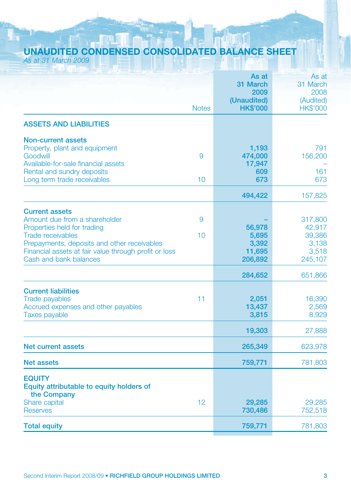## **UNAUDITED CONDENSED CONSOLIDATED BALANCE SHEET**

|  | As at 31 March 2009 |
|--|---------------------|
|--|---------------------|

| (Unaudited)<br><b>Notes</b><br><b>HK\$'000</b><br><b>ASSETS AND LIABILITIES</b><br><b>Non-current assets</b><br>Property, plant and equipment<br>1,193<br>Goodwill<br>9<br>474,000<br>Available-for-sale financial assets<br>17,947<br>Rental and sundry deposits<br>609<br>673<br>Long term trade receivables<br>10<br>494,422<br><b>Current assets</b><br>Amount due from a shareholder<br>9<br>Properties held for trading<br>56,978<br><b>Trade receivables</b><br>10<br>5,695<br>3,392<br>Prepayments, deposits and other receivables<br>Financial assets at fair value through profit or loss<br>11,695<br>Cash and bank balances<br>206,892<br>284,652<br><b>Current liabilities</b><br><b>Trade payables</b><br>11<br>2,051<br>Accrued expenses and other payables<br>13,437<br><b>Taxes payable</b><br>3,815<br>19,303<br><b>Net current assets</b><br>265,349<br>759,771<br><b>Net assets</b><br><b>EQUITY</b><br>Equity attributable to equity holders of<br>the Company<br>Share capital<br>12<br>29,285<br><b>Reserves</b><br>730,486<br>759,771<br><b>Total equity</b> |  | As at<br>31 March<br>2009 | As at<br>31 March<br>2008                                |
|--------------------------------------------------------------------------------------------------------------------------------------------------------------------------------------------------------------------------------------------------------------------------------------------------------------------------------------------------------------------------------------------------------------------------------------------------------------------------------------------------------------------------------------------------------------------------------------------------------------------------------------------------------------------------------------------------------------------------------------------------------------------------------------------------------------------------------------------------------------------------------------------------------------------------------------------------------------------------------------------------------------------------------------------------------------------------------------|--|---------------------------|----------------------------------------------------------|
|                                                                                                                                                                                                                                                                                                                                                                                                                                                                                                                                                                                                                                                                                                                                                                                                                                                                                                                                                                                                                                                                                      |  |                           | (Audited)<br><b>HK\$'000</b>                             |
|                                                                                                                                                                                                                                                                                                                                                                                                                                                                                                                                                                                                                                                                                                                                                                                                                                                                                                                                                                                                                                                                                      |  |                           |                                                          |
|                                                                                                                                                                                                                                                                                                                                                                                                                                                                                                                                                                                                                                                                                                                                                                                                                                                                                                                                                                                                                                                                                      |  |                           | 791<br>156,200<br>161                                    |
|                                                                                                                                                                                                                                                                                                                                                                                                                                                                                                                                                                                                                                                                                                                                                                                                                                                                                                                                                                                                                                                                                      |  |                           | 673                                                      |
|                                                                                                                                                                                                                                                                                                                                                                                                                                                                                                                                                                                                                                                                                                                                                                                                                                                                                                                                                                                                                                                                                      |  |                           | 157,825                                                  |
|                                                                                                                                                                                                                                                                                                                                                                                                                                                                                                                                                                                                                                                                                                                                                                                                                                                                                                                                                                                                                                                                                      |  |                           | 317,800<br>42,917<br>39,386<br>3,138<br>3,518<br>245,107 |
|                                                                                                                                                                                                                                                                                                                                                                                                                                                                                                                                                                                                                                                                                                                                                                                                                                                                                                                                                                                                                                                                                      |  |                           | 651,866                                                  |
|                                                                                                                                                                                                                                                                                                                                                                                                                                                                                                                                                                                                                                                                                                                                                                                                                                                                                                                                                                                                                                                                                      |  |                           | 16,390<br>2,569<br>8,929                                 |
|                                                                                                                                                                                                                                                                                                                                                                                                                                                                                                                                                                                                                                                                                                                                                                                                                                                                                                                                                                                                                                                                                      |  |                           | 27,888                                                   |
|                                                                                                                                                                                                                                                                                                                                                                                                                                                                                                                                                                                                                                                                                                                                                                                                                                                                                                                                                                                                                                                                                      |  |                           | 623,978                                                  |
|                                                                                                                                                                                                                                                                                                                                                                                                                                                                                                                                                                                                                                                                                                                                                                                                                                                                                                                                                                                                                                                                                      |  |                           | 781,803                                                  |
|                                                                                                                                                                                                                                                                                                                                                                                                                                                                                                                                                                                                                                                                                                                                                                                                                                                                                                                                                                                                                                                                                      |  |                           |                                                          |
|                                                                                                                                                                                                                                                                                                                                                                                                                                                                                                                                                                                                                                                                                                                                                                                                                                                                                                                                                                                                                                                                                      |  |                           | 29,285<br>752,518                                        |
|                                                                                                                                                                                                                                                                                                                                                                                                                                                                                                                                                                                                                                                                                                                                                                                                                                                                                                                                                                                                                                                                                      |  |                           | 781,803                                                  |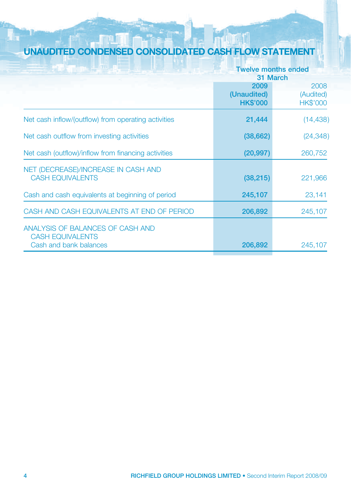## **UNAUDITED CONDENSED CONSOLIDATED CASH FLOW STATEMENT**

| ت کے لیے ساتھا ک<br>新闻 背面的                          |                 | <b>Twelve months ended</b> |
|-----------------------------------------------------|-----------------|----------------------------|
|                                                     |                 | 31 March                   |
|                                                     | 2009            | 2008                       |
|                                                     | (Unaudited)     | (Audited)                  |
|                                                     | <b>HK\$'000</b> | <b>HK\$'000</b>            |
| Net cash inflow/(outflow) from operating activities | 21,444          | (14, 438)                  |
| Net cash outflow from investing activities          | (38, 662)       | (24, 348)                  |
| Net cash (outflow)/inflow from financing activities | (20, 997)       | 260,752                    |
| NET (DECREASE)/INCREASE IN CASH AND                 |                 |                            |
| <b>CASH EQUIVALENTS</b>                             | (38, 215)       | 221,966                    |
| Cash and cash equivalents at beginning of period    | 245,107         | 23,141                     |
|                                                     |                 |                            |
| CASH AND CASH EQUIVALENTS AT END OF PERIOD          | 206,892         | 245,107                    |
| ANALYSIS OF BALANCES OF CASH AND                    |                 |                            |
| <b>CASH EQUIVALENTS</b>                             |                 |                            |
| Cash and bank balances                              | 206,892         | 245,107                    |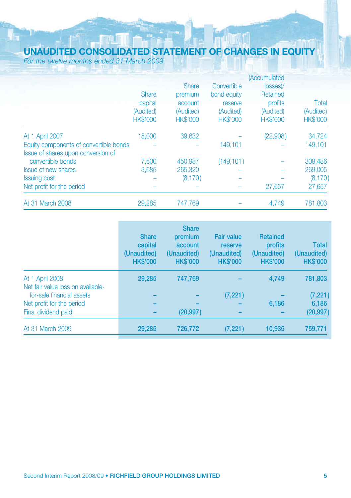## **UNAUDITED CONSOLIDATED STATEMENT OF CHANGES IN EQUITY**

For the twelve months ended 31 March 2009

|                                        |                 |                 |                 | (Accumulated    |                 |
|----------------------------------------|-----------------|-----------------|-----------------|-----------------|-----------------|
|                                        |                 | <b>Share</b>    | Convertible     | losses)/        |                 |
|                                        | <b>Share</b>    | premium         | bond equity     | Retained        |                 |
|                                        | capital         | account         | reserve         | profits         | Total           |
|                                        | (Audited)       | (Audited)       | (Audited)       | (Audited)       | (Audited)       |
|                                        | <b>HK\$'000</b> | <b>HK\$'000</b> | <b>HK\$'000</b> | <b>HK\$'000</b> | <b>HK\$'000</b> |
| At 1 April 2007                        | 18,000          | 39.632          |                 | (22,908)        | 34.724          |
| Equity components of convertible bonds |                 |                 | 149.101         |                 | 149.101         |
| Issue of shares upon conversion of     |                 |                 |                 |                 |                 |
| convertible bonds                      | 7,600           | 450,987         | (149, 101)      |                 | 309,486         |
| <b>Issue of new shares</b>             | 3.685           | 265,320         |                 |                 | 269,005         |
| <b>Issuing cost</b>                    |                 | (8, 170)        |                 |                 | (8, 170)        |
| Net profit for the period              |                 |                 |                 | 27,657          | 27,657          |
| At 31 March 2008                       | 29,285          | 747.769         |                 | 4,749           | 781,803         |

|                                                      | <b>Share</b><br>capital<br>(Unaudited)<br><b>HK\$'000</b> | <b>Share</b><br>premium<br>account<br>(Unaudited)<br><b>HK\$'000</b> | <b>Fair value</b><br>reserve<br>(Unaudited)<br><b>HK\$'000</b> | <b>Retained</b><br>profits<br>(Unaudited)<br><b>HK\$'000</b> | <b>Total</b><br>(Unaudited)<br><b>HK\$'000</b> |
|------------------------------------------------------|-----------------------------------------------------------|----------------------------------------------------------------------|----------------------------------------------------------------|--------------------------------------------------------------|------------------------------------------------|
| At 1 April 2008<br>Net fair value loss on available- | 29.285                                                    | 747.769                                                              |                                                                | 4,749                                                        | 781,803                                        |
| for-sale financial assets                            |                                                           |                                                                      | (7, 221)                                                       |                                                              | (7, 221)                                       |
| Net profit for the period                            |                                                           |                                                                      |                                                                | 6,186                                                        | 6,186                                          |
| Final dividend paid                                  |                                                           | (20, 997)                                                            |                                                                |                                                              | (20, 997)                                      |
| At 31 March 2009                                     | 29,285                                                    | 726,772                                                              | (7, 221)                                                       | 10,935                                                       | 759,771                                        |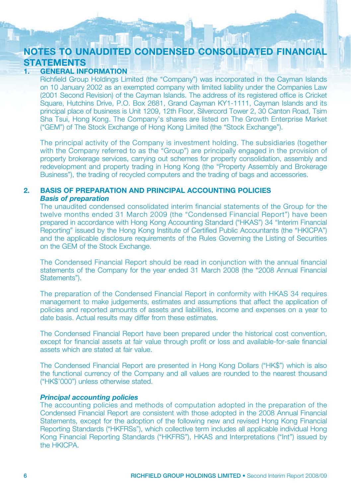## **NOTES TO UNAUDITED CONDENSED CONSOLIDATED FINANCIAL STATEMENTS**<br>1. **GENERAL INF**

#### **GENERAL INFORMATION**

Richfield Group Holdings Limited (the "Company") was incorporated in the Cayman Islands on 10 January 2002 as an exempted company with limited liability under the Companies Law (2001 Second Revision) of the Cayman Islands. The address of its registered office is Cricket Square, Hutchins Drive, P.O. Box 2681, Grand Cayman KY1-1111, Cayman Islands and its principal place of business is Unit 1209, 12th Floor, Silvercord Tower 2, 30 Canton Road, Tsim Sha Tsui, Hong Kong. The Company's shares are listed on The Growth Enterprise Market ("GEM") of The Stock Exchange of Hong Kong Limited (the "Stock Exchange").

The principal activity of the Company is investment holding. The subsidiaries (together with the Company referred to as the "Group") are principally engaged in the provision of property brokerage services, carrying out schemes for property consolidation, assembly and redevelopment and property trading in Hong Kong (the "Property Assembly and Brokerage Business"), the trading of recycled computers and the trading of bags and accessories.

#### **2. BASIS OF PREPARATION AND PRINCIPAL ACCOUNTING POLICIES** *Basis of preparation*

The unaudited condensed consolidated interim financial statements of the Group for the twelve months ended 31 March 2009 (the "Condensed Financial Report") have been prepared in accordance with Hong Kong Accounting Standard ("HKAS") 34 "Interim Financial Reporting" issued by the Hong Kong Institute of Certified Public Accountants (the "HKICPA") and the applicable disclosure requirements of the Rules Governing the Listing of Securities on the GEM of the Stock Exchange.

The Condensed Financial Report should be read in conjunction with the annual financial statements of the Company for the year ended 31 March 2008 (the "2008 Annual Financial Statements").

The preparation of the Condensed Financial Report in conformity with HKAS 34 requires management to make judgements, estimates and assumptions that affect the application of policies and reported amounts of assets and liabilities, income and expenses on a year to date basis. Actual results may differ from these estimates.

The Condensed Financial Report have been prepared under the historical cost convention, except for financial assets at fair value through profit or loss and available-for-sale financial assets which are stated at fair value.

The Condensed Financial Report are presented in Hong Kong Dollars ("HK\$") which is also the functional currency of the Company and all values are rounded to the nearest thousand ("HK\$'000") unless otherwise stated.

#### *Principal accounting policies*

The accounting policies and methods of computation adopted in the preparation of the Condensed Financial Report are consistent with those adopted in the 2008 Annual Financial Statements, except for the adoption of the following new and revised Hong Kong Financial Reporting Standards ("HKFRSs"), which collective term includes all applicable individual Hong Kong Financial Reporting Standards ("HKFRS"), HKAS and Interpretations ("Int") issued by the HKICPA.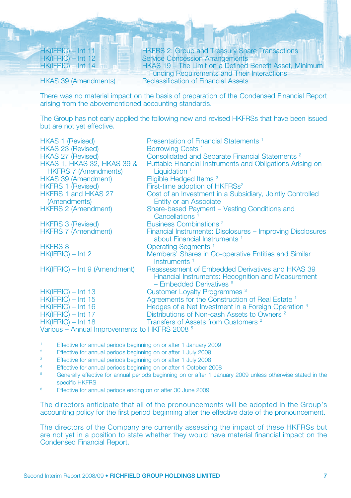HK(IFRIC) – Int 11 **HKFRS 2: Group and Treasury Share Transactions**<br>HK(IFRIC) – Int 12 **HK** Service Concession Arrangements HK(IFRIC) – Int 12 Service Concession Arrangements<br>
HKAS 19 – The Limit on a Defined HKAS 19 – The Limit on a Defined Benefit Asset, Minimum Funding Requirements and Their Interactions<br>
HKAS 39 (Amendments) Reclassification of Financial Assets **Beclassification of Financial Assets** 

There was no material impact on the basis of preparation of the Condensed Financial Report arising from the abovementioned accounting standards.

The Group has not early applied the following new and revised HKFRSs that have been issued but are not yet effective.

| <b>HKAS 1 (Revised)</b>                                  | Presentation of Financial Statements <sup>1</sup>                                                                                      |
|----------------------------------------------------------|----------------------------------------------------------------------------------------------------------------------------------------|
| <b>HKAS 23 (Revised)</b>                                 | Borrowing Costs <sup>1</sup>                                                                                                           |
| <b>HKAS 27 (Revised)</b>                                 | Consolidated and Separate Financial Statements <sup>2</sup>                                                                            |
| <b>HKAS 1, HKAS 32, HKAS 39 &amp;</b>                    | Puttable Financial Instruments and Obligations Arising on                                                                              |
| <b>HKFRS 7 (Amendments)</b>                              | Liquidation $1$                                                                                                                        |
| <b>HKAS 39 (Amendment)</b>                               | Eligible Hedged Items <sup>2</sup>                                                                                                     |
| <b>HKFRS 1 (Revised)</b>                                 | First-time adoption of HKFRSs <sup>2</sup>                                                                                             |
| <b>HKFRS 1 and HKAS 27</b><br>(Amendments)               | Cost of an Investment in a Subsidiary, Jointly Controlled<br>Entity or an Associate                                                    |
| <b>HKFRS 2 (Amendment)</b>                               | Share-based Payment – Vesting Conditions and<br>Cancellations <sup>1</sup>                                                             |
| <b>HKFRS 3 (Revised)</b>                                 | <b>Business Combinations 2</b>                                                                                                         |
| <b>HKFRS 7 (Amendment)</b>                               | Financial Instruments: Disclosures - Improving Disclosures<br>about Financial Instruments <sup>1</sup>                                 |
| <b>HKFRS 8</b>                                           | <b>Operating Segments</b> <sup>1</sup>                                                                                                 |
| $HK(IFRIC) - Int 2$                                      | Members' Shares in Co-operative Entities and Similar<br>Instruments <sup>1</sup>                                                       |
| HK(IFRIC) – Int 9 (Amendment)                            | Reassessment of Embedded Derivatives and HKAS 39<br>Financial Instruments: Recognition and Measurement<br>$-$ Embedded Derivatives $6$ |
| $HK(IFRIC) - Int 13$                                     | <b>Customer Loyalty Programmes 3</b>                                                                                                   |
| $HK(IFRIC) - Int 15$                                     | Agreements for the Construction of Real Estate <sup>1</sup>                                                                            |
| $HK(IFRIC) - Int 16$                                     | Hedges of a Net Investment in a Foreign Operation 4                                                                                    |
| $HK(IFRIC) - Int 17$                                     | Distributions of Non-cash Assets to Owners <sup>2</sup>                                                                                |
| $HK(IFRIC) - Int 18$                                     | Transfers of Assets from Customers <sup>2</sup>                                                                                        |
| Various – Annual Improvements to HKFRS 2008 <sup>5</sup> |                                                                                                                                        |
|                                                          |                                                                                                                                        |

Effective for annual periods beginning on or after 1 January 2009

- 2 Effective for annual periods beginning on or after 1 July 2009
- Effective for annual periods beginning on or after 1 July 2008
- 4 Effective for annual periods beginning on or after 1 October 2008
- 5 Generally effective for annual periods beginning on or after 1 January 2009 unless otherwise stated in the specific HKFRS
- 6 Effective for annual periods ending on or after 30 June 2009

The directors anticipate that all of the pronouncements will be adopted in the Group's accounting policy for the first period beginning after the effective date of the pronouncement.

The directors of the Company are currently assessing the impact of these HKFRSs but are not yet in a position to state whether they would have material financial impact on the Condensed Financial Report.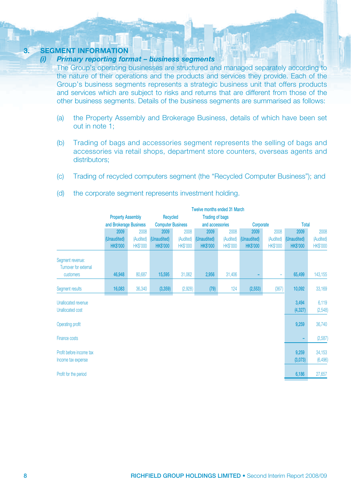## **3. SEGMENT INFORMATION**

#### *Primary reporting format – business segments*

The Group's operating businesses are structured and managed separately according to the nature of their operations and the products and services they provide. Each of the Group's business segments represents a strategic business unit that offers products and services which are subject to risks and returns that are different from those of the other business segments. Details of the business segments are summarised as follows:

- (a) the Property Assembly and Brokerage Business, details of which have been set out in note 1;
- (b) Trading of bags and accessories segment represents the selling of bags and accessories via retail shops, department store counters, overseas agents and distributors:
- (c) Trading of recycled computers segment (the "Recycled Computer Business"); and

|                                                       | <b>Twelve months ended 31 March</b> |                                                                |                          |                 |                 |                 |                |                 |                   |                    |
|-------------------------------------------------------|-------------------------------------|----------------------------------------------------------------|--------------------------|-----------------|-----------------|-----------------|----------------|-----------------|-------------------|--------------------|
|                                                       |                                     | <b>Trading of bags</b><br><b>Property Assembly</b><br>Recycled |                          |                 |                 |                 |                |                 |                   |                    |
|                                                       | and Brokerage Business              |                                                                | <b>Computer Business</b> |                 | and accessories |                 | Corporate      |                 | Total             |                    |
|                                                       | 2009                                | 2008                                                           | 2009                     | 2008            | 2009            | 2008            | 2009           | 2008            | 2009              | 2008               |
|                                                       | (Unaudited)                         | (Audited)                                                      | (Unaudited)              | (Audited)       | (Unaudited)     | (Audited)       | (Unaudited)    | (Audited)       | (Unaudited)       | (Audited)          |
|                                                       | <b>HKS'000</b>                      | <b>HK\$'000</b>                                                | <b>HK\$'000</b>          | <b>HK\$'000</b> | <b>HKS'000</b>  | <b>HK\$'000</b> | <b>HKS'000</b> | <b>HK\$'000</b> | <b>HK\$'000</b>   | <b>HK\$'000</b>    |
| Segment revenue:<br>Turnover for external             |                                     |                                                                |                          |                 |                 |                 |                |                 |                   |                    |
| customers                                             | 46,948                              | 80,687                                                         | 15,595                   | 31,062          | 2,956           | 31,406          | ۳              | ÷               | 65,499            | 143,155            |
| Segment results                                       | 16,083                              | 36,340                                                         | (3,359)                  | (2,928)         | (79)            | 124             | (2, 553)       | (367)           | 10,092            | 33,169             |
| <b>Unallocated revenue</b><br><b>Unallocated cost</b> |                                     |                                                                |                          |                 |                 |                 |                |                 | 3,494<br>(4, 327) | 6,119<br>(2,548)   |
| Operating profit                                      |                                     |                                                                |                          |                 |                 |                 |                |                 | 9,259             | 36,740             |
| Finance costs                                         |                                     |                                                                |                          |                 |                 |                 |                |                 |                   | (2,587)            |
| Profit before income tax<br>Income tax expense        |                                     |                                                                |                          |                 |                 |                 |                |                 | 9,259<br>(3,073)  | 34,153<br>(6, 496) |
| Profit for the period                                 |                                     |                                                                |                          |                 |                 |                 |                |                 | 6,186             | 27,657             |

(d) the corporate segment represents investment holding.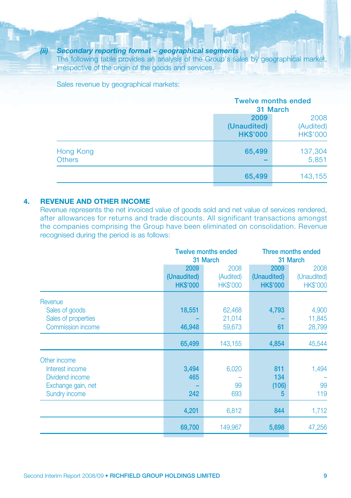#### *(ii) Secondary reporting format – geographical segments*

The following table provides an analysis of the Group's sales by geographical market, irrespective of the origin of the goods and services.

Sales revenue by geographical markets:

|               |                 | <b>Twelve months ended</b> |  |  |
|---------------|-----------------|----------------------------|--|--|
|               |                 | 31 March                   |  |  |
|               | 2009            | 2008                       |  |  |
|               | (Unaudited)     | (Audited)                  |  |  |
|               | <b>HK\$'000</b> | <b>HK\$'000</b>            |  |  |
| Hong Kong     | 65,499          | 137,304                    |  |  |
| <b>Others</b> |                 | 5,851                      |  |  |
|               | 65,499          | 143,155                    |  |  |

#### **4. REVENUE AND OTHER INCOME**

Revenue represents the net invoiced value of goods sold and net value of services rendered, after allowances for returns and trade discounts. All significant transactions amongst the companies comprising the Group have been eliminated on consolidation. Revenue recognised during the period is as follows:

|                                                                                                  |                                        | <b>Twelve months ended</b><br>31 March | Three months ended<br>31 March         |                                        |
|--------------------------------------------------------------------------------------------------|----------------------------------------|----------------------------------------|----------------------------------------|----------------------------------------|
|                                                                                                  | 2009<br>(Unaudited)<br><b>HK\$'000</b> | 2008<br>(Audited)<br><b>HK\$'000</b>   | 2009<br>(Unaudited)<br><b>HK\$'000</b> | 2008<br>(Unaudited)<br><b>HK\$'000</b> |
| Revenue<br>Sales of goods<br>Sales of properties<br>Commission income                            | 18,551<br>46,948                       | 62,468<br>21,014<br>59,673             | 4,793<br>61                            | 4,900<br>11,845<br>28,799              |
|                                                                                                  | 65,499                                 | 143,155                                | 4,854                                  | 45,544                                 |
| Other income<br>Interest income<br>Dividend income<br>Exchange gain, net<br><b>Sundry income</b> | 3,494<br>465<br>242                    | 6,020<br>99<br>693                     | 811<br>134<br>(106)<br>5               | 1,494<br>99<br>119                     |
|                                                                                                  | 4,201                                  | 6,812                                  | 844                                    | 1,712                                  |
|                                                                                                  | 69,700                                 | 149,967                                | 5,698                                  | 47,256                                 |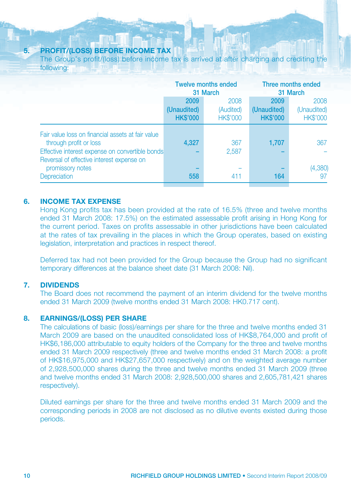#### **5. PROFIT/(LOSS) BEFORE INCOME TAX**

The Group's profit/(loss) before income tax is arrived at after charging and crediting the following:

|                                                                                                                                                                             |                                        | <b>Twelve months ended</b><br>31 March | Three months ended<br>31 March         |                                        |  |
|-----------------------------------------------------------------------------------------------------------------------------------------------------------------------------|----------------------------------------|----------------------------------------|----------------------------------------|----------------------------------------|--|
|                                                                                                                                                                             | 2009<br>(Unaudited)<br><b>HK\$'000</b> | 2008<br>(Audited)<br><b>HK\$'000</b>   | 2009<br>(Unaudited)<br><b>HK\$'000</b> | 2008<br>(Unaudited)<br><b>HK\$'000</b> |  |
| Fair value loss on financial assets at fair value<br>through profit or loss<br>Effective interest expense on convertible bonds<br>Reversal of effective interest expense on | 4,327                                  | 367<br>2,587                           | 1,707                                  | 367                                    |  |
| promissory notes<br>Depreciation                                                                                                                                            | 558                                    | 411                                    | 164                                    | (4,380)<br>97                          |  |

#### **6. INCOME TAX EXPENSE**

Hong Kong profits tax has been provided at the rate of 16.5% (three and twelve months ended 31 March 2008: 17.5%) on the estimated assessable profit arising in Hong Kong for the current period. Taxes on profits assessable in other jurisdictions have been calculated at the rates of tax prevailing in the places in which the Group operates, based on existing legislation, interpretation and practices in respect thereof.

Deferred tax had not been provided for the Group because the Group had no significant temporary differences at the balance sheet date (31 March 2008: Nil).

#### **7. DIVIDENDS**

The Board does not recommend the payment of an interim dividend for the twelve months ended 31 March 2009 (twelve months ended 31 March 2008: HK0.717 cent).

#### **8. EARNINGS/(LOSS) PER SHARE**

The calculations of basic (loss)/earnings per share for the three and twelve months ended 31 March 2009 are based on the unaudited consolidated loss of HK\$8,764,000 and profit of HK\$6,186,000 attributable to equity holders of the Company for the three and twelve months ended 31 March 2009 respectively (three and twelve months ended 31 March 2008: a profit of HK\$16,975,000 and HK\$27,657,000 respectively) and on the weighted average number of 2,928,500,000 shares during the three and twelve months ended 31 March 2009 (three and twelve months ended 31 March 2008: 2,928,500,000 shares and 2,605,781,421 shares respectively).

Diluted earnings per share for the three and twelve months ended 31 March 2009 and the corresponding periods in 2008 are not disclosed as no dilutive events existed during those periods.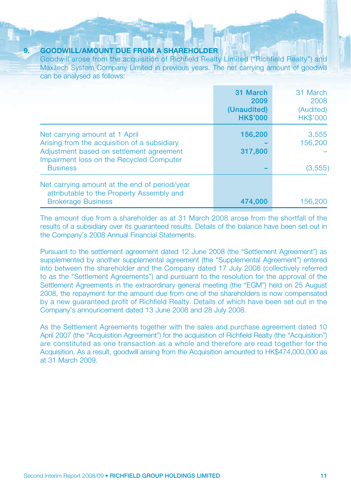#### **9. GOODWILL/AMOUNT DUE FROM A SHAREHOLDER**

Goodwill arose from the acquisition of Richfield Realty Limited ("Richfield Realty") and Maxitech System Company Limited in previous years. The net carrying amount of goodwill can be analysed as follows:

|                                                                                                                                                                                           | 31 March<br>2009<br>(Unaudited)<br><b>HK\$'000</b> | 31 March<br>2008<br>(Audited)<br><b>HK\$'000</b> |
|-------------------------------------------------------------------------------------------------------------------------------------------------------------------------------------------|----------------------------------------------------|--------------------------------------------------|
| Net carrying amount at 1 April<br>Arising from the acquisition of a subsidiary<br>Adjustment based on settlement agreement<br>Impairment loss on the Recycled Computer<br><b>Business</b> | 156,200<br>317,800                                 | 3,555<br>156,200<br>(3,555)                      |
| Net carrying amount at the end of period/year<br>attributable to the Property Assembly and<br><b>Brokerage Business</b>                                                                   | 474.000                                            | 156,200                                          |

The amount due from a shareholder as at 31 March 2008 arose from the shortfall of the results of a subsidiary over its guaranteed results. Details of the balance have been set out in the Company's 2008 Annual Financial Statements.

Pursuant to the settlement agreement dated 12 June 2008 (the "Settlement Agreement") as supplemented by another supplemental agreement (the "Supplemental Agreement") entered into between the shareholder and the Company dated 17 July 2008 (collectively referred to as the "Settlement Agreements") and pursuant to the resolution for the approval of the Settlement Agreements in the extraordinary general meeting (the "EGM") held on 25 August 2008, the repayment for the amount due from one of the shareholders is now compensated by a new guaranteed profit of Richfield Realty. Details of which have been set out in the Company's announcement dated 13 June 2008 and 28 July 2008.

As the Settlement Agreements together with the sales and purchase agreement dated 10 April 2007 (the "Acquisition Agreement") for the acquisition of Richfield Realty (the "Acquisition") are constituted as one transaction as a whole and therefore are read together for the Acquisition. As a result, goodwill arising from the Acquisition amounted to HK\$474,000,000 as at 31 March 2009.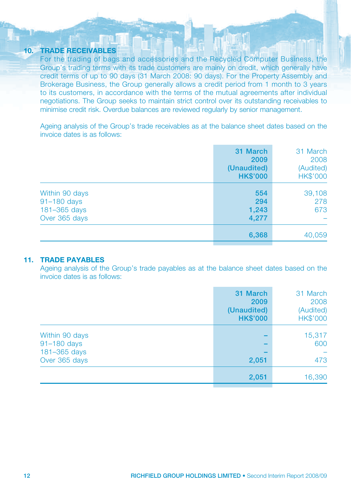#### **10. TRADE RECEIVABLES**

For the trading of bags and accessories and the Recycled Computer Business, the Group's trading terms with its trade customers are mainly on credit, which generally have credit terms of up to 90 days (31 March 2008: 90 days). For the Property Assembly and Brokerage Business, the Group generally allows a credit period from 1 month to 3 years to its customers, in accordance with the terms of the mutual agreements after individual negotiations. The Group seeks to maintain strict control over its outstanding receivables to minimise credit risk. Overdue balances are reviewed regularly by senior management.

men

Ageing analysis of the Group's trade receivables as at the balance sheet dates based on the invoice dates is as follows:

|                                                                | 31 March<br>2009<br>(Unaudited)<br><b>HK\$'000</b> | 31 March<br>2008<br>(Audited)<br><b>HK\$'000</b> |
|----------------------------------------------------------------|----------------------------------------------------|--------------------------------------------------|
| Within 90 days<br>91-180 days<br>181-365 days<br>Over 365 days | 554<br>294<br>1,243<br>4,277                       | 39,108<br>278<br>673                             |
|                                                                | 6,368                                              | 40,059                                           |

#### **11. TRADE PAYABLES**

Ageing analysis of the Group's trade payables as at the balance sheet dates based on the invoice dates is as follows:

|                                               | 31 March<br>2009<br>(Unaudited)<br><b>HK\$'000</b> | 31 March<br>2008<br>(Audited)<br><b>HK\$'000</b> |
|-----------------------------------------------|----------------------------------------------------|--------------------------------------------------|
| Within 90 days<br>91-180 days<br>181-365 days |                                                    | 15,317<br>600                                    |
| Over 365 days                                 | 2,051                                              | 473                                              |
|                                               | 2,051                                              | 16,390                                           |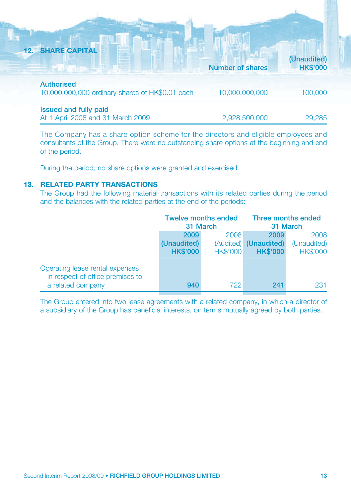| <b>12. SHARE CAPITAL</b>                                             |                         |                                |
|----------------------------------------------------------------------|-------------------------|--------------------------------|
|                                                                      | <b>Number of shares</b> | (Unaudited)<br><b>HK\$'000</b> |
| <b>Authorised</b><br>10,000,000,000 ordinary shares of HK\$0.01 each | 10,000,000,000          | 100,000                        |
| <b>Issued and fully paid</b><br>At 1 April 2008 and 31 March 2009    | 2,928,500,000           | 29,285                         |

The Company has a share option scheme for the directors and eligible employees and consultants of the Group. There were no outstanding share options at the beginning and end of the period.

During the period, no share options were granted and exercised.

#### **13. RELATED PARTY TRANSACTIONS**

The Group had the following material transactions with its related parties during the period and the balances with the related parties at the end of the periods:

|                                                                     | <b>Twelve months ended</b><br>31 March |                 | Three months ended<br>31 March           |                                |
|---------------------------------------------------------------------|----------------------------------------|-----------------|------------------------------------------|--------------------------------|
|                                                                     | 2009                                   | 2008            | 2009                                     | 2008                           |
|                                                                     | (Unaudited)<br><b>HK\$'000</b>         | <b>HK\$'000</b> | (Audited) (Unaudited)<br><b>HK\$'000</b> | (Unaudited)<br><b>HK\$'000</b> |
| Operating lease rental expenses<br>in respect of office premises to |                                        | 722             | 241                                      |                                |
| a related company                                                   | 940                                    |                 |                                          | 231                            |

The Group entered into two lease agreements with a related company, in which a director of a subsidiary of the Group has beneficial interests, on terms mutually agreed by both parties.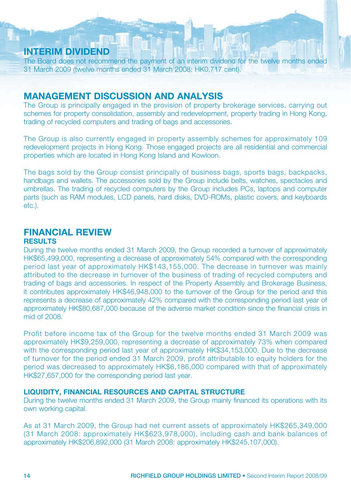## **INTERIM DIVIDEND**

The Board does not recommend the payment of an interim dividend for the twelve months ended 31 March 2009 (twelve months ended 31 March 2008: HK0.717 cent).

## **MANAGEMENT DISCUSSION AND ANALYSIS**

The Group is principally engaged in the provision of property brokerage services, carrying out schemes for property consolidation, assembly and redevelopment, property trading in Hong Kong, trading of recycled computers and trading of bags and accessories.

The Group is also currently engaged in property assembly schemes for approximately 109 redevelopment projects in Hong Kong. Those engaged projects are all residential and commercial properties which are located in Hong Kong Island and Kowloon.

The bags sold by the Group consist principally of business bags, sports bags, backpacks, handbags and wallets. The accessories sold by the Group include belts, watches, spectacles and umbrellas. The trading of recycled computers by the Group includes PCs, laptops and computer parts (such as RAM modules, LCD panels, hard disks, DVD-ROMs, plastic covers, and keyboards etc.).

## **FINANCIAL REVIEW**

#### **RESULTS**

During the twelve months ended 31 March 2009, the Group recorded a turnover of approximately HK\$65,499,000, representing a decrease of approximately 54% compared with the corresponding period last year of approximately HK\$143,155,000. The decrease in turnover was mainly attributed to the decrease in turnover of the business of trading of recycled computers and trading of bags and accessories. In respect of the Property Assembly and Brokerage Business, it contributes approximately HK\$46,948,000 to the turnover of the Group for the period and this represents a decrease of approximately 42% compared with the corresponding period last year of approximately HK\$80,687,000 because of the adverse market condition since the financial crisis in mid of 2008.

Profit before income tax of the Group for the twelve months ended 31 March 2009 was approximately HK\$9,259,000, representing a decrease of approximately 73% when compared with the corresponding period last year of approximately HK\$34,153,000. Due to the decrease of turnover for the period ended 31 March 2009, profit attributable to equity holders for the period was decreased to approximately HK\$6,186,000 compared with that of approximately HK\$27,657,000 for the corresponding period last year.

#### **LIQUIDITY, FINANCIAL RESOURCES AND CAPITAL STRUCTURE**

During the twelve months ended 31 March 2009, the Group mainly financed its operations with its own working capital.

As at 31 March 2009, the Group had net current assets of approximately HK\$265,349,000 (31 March 2008: approximately HK\$623,978,000), including cash and bank balances of approximately HK\$206,892,000 (31 March 2008: approximately HK\$245,107,000).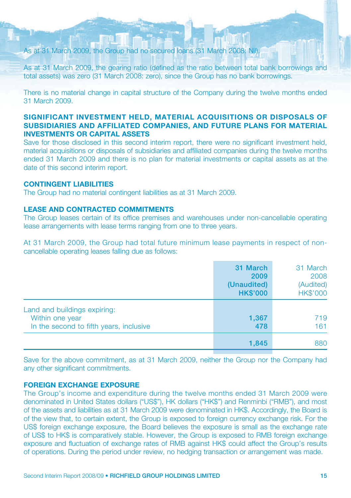#### As at 31 March 2009, the Group had no secured loans (31 March 2008: Nil).

As at 31 March 2009, the gearing ratio (defined as the ratio between total bank borrowings and total assets) was zero (31 March 2008: zero), since the Group has no bank borrowings.

There is no material change in capital structure of the Company during the twelve months ended 31 March 2009.

#### **SIGNIFICANT INVESTMENT HELD, MATERIAL ACQUISITIONS OR DISPOSALS OF SUBSIDIARIES AND AFFILIATED COMPANIES, AND FUTURE PLANS FOR MATERIAL INVESTMENTS OR CAPITAL ASSETS**

Save for those disclosed in this second interim report, there were no significant investment held, material acquisitions or disposals of subsidiaries and affiliated companies during the twelve months ended 31 March 2009 and there is no plan for material investments or capital assets as at the date of this second interim report.

#### **CONTINGENT LIABILITIES**

The Group had no material contingent liabilities as at 31 March 2009.

#### **LEASE AND CONTRACTED COMMITMENTS**

The Group leases certain of its office premises and warehouses under non-cancellable operating lease arrangements with lease terms ranging from one to three years.

At 31 March 2009, the Group had total future minimum lease payments in respect of noncancellable operating leases falling due as follows:

|                                                                                            | 31 March<br>2009<br>(Unaudited)<br><b>HK\$'000</b> | 31 March<br>2008<br>(Audited)<br>HK\$'000 |
|--------------------------------------------------------------------------------------------|----------------------------------------------------|-------------------------------------------|
| Land and buildings expiring:<br>Within one year<br>In the second to fifth years, inclusive | 1,367<br>478                                       | 719<br>161                                |
|                                                                                            | 1,845                                              | 880                                       |

Save for the above commitment, as at 31 March 2009, neither the Group nor the Company had any other significant commitments.

#### **FOREIGN EXCHANGE EXPOSURE**

The Group's income and expenditure during the twelve months ended 31 March 2009 were denominated in United States dollars ("US\$"), HK dollars ("HK\$") and Renminbi ("RMB"), and most of the assets and liabilities as at 31 March 2009 were denominated in HK\$. Accordingly, the Board is of the view that, to certain extent, the Group is exposed to foreign currency exchange risk. For the US\$ foreign exchange exposure, the Board believes the exposure is small as the exchange rate of US\$ to HK\$ is comparatively stable. However, the Group is exposed to RMB foreign exchange exposure and fluctuation of exchange rates of RMB against HK\$ could affect the Group's results of operations. During the period under review, no hedging transaction or arrangement was made.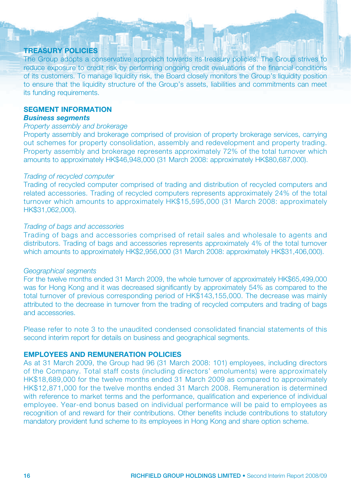#### **TREASURY POLICIES**

The Group adopts a conservative approach towards its treasury policies. The Group strives to reduce exposure to credit risk by performing ongoing credit evaluations of the financial conditions of its customers. To manage liquidity risk, the Board closely monitors the Group's liquidity position to ensure that the liquidity structure of the Group's assets, liabilities and commitments can meet its funding requirements.

#### **SEGMENT INFORMATION**

#### *Business segments*

#### Property assembly and brokerage

Property assembly and brokerage comprised of provision of property brokerage services, carrying out schemes for property consolidation, assembly and redevelopment and property trading. Property assembly and brokerage represents approximately 72% of the total turnover which amounts to approximately HK\$46,948,000 (31 March 2008: approximately HK\$80,687,000).

#### Trading of recycled computer

Trading of recycled computer comprised of trading and distribution of recycled computers and related accessories. Trading of recycled computers represents approximately 24% of the total turnover which amounts to approximately HK\$15,595,000 (31 March 2008: approximately HK\$31,062,000).

#### Trading of bags and accessories

Trading of bags and accessories comprised of retail sales and wholesale to agents and distributors. Trading of bags and accessories represents approximately 4% of the total turnover which amounts to approximately HK\$2,956,000 (31 March 2008: approximately HK\$31,406,000).

#### Geographical segments

For the twelve months ended 31 March 2009, the whole turnover of approximately HK\$65,499,000 was for Hong Kong and it was decreased significantly by approximately 54% as compared to the total turnover of previous corresponding period of HK\$143,155,000. The decrease was mainly attributed to the decrease in turnover from the trading of recycled computers and trading of bags and accessories.

Please refer to note 3 to the unaudited condensed consolidated financial statements of this second interim report for details on business and geographical segments.

#### **EMPLOYEES AND REMUNERATION POLICIES**

As at 31 March 2009, the Group had 96 (31 March 2008: 101) employees, including directors of the Company. Total staff costs (including directors' emoluments) were approximately HK\$18,689,000 for the twelve months ended 31 March 2009 as compared to approximately HK\$12,871,000 for the twelve months ended 31 March 2008. Remuneration is determined with reference to market terms and the performance, qualification and experience of individual employee. Year-end bonus based on individual performance will be paid to employees as recognition of and reward for their contributions. Other benefits include contributions to statutory mandatory provident fund scheme to its employees in Hong Kong and share option scheme.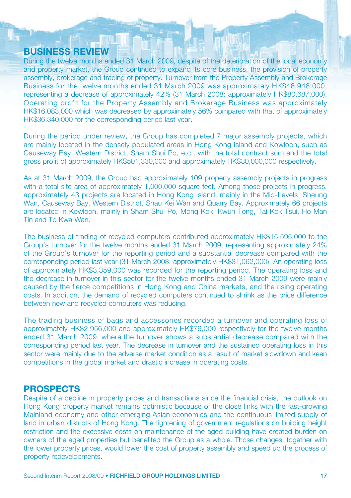## **BUSINESS REVIEW**

During the twelve months ended 31 March 2009, despite of the deterioration of the local economy and property market, the Group continued to expand its core business, the provision of property assembly, brokerage and trading of property. Turnover from the Property Assembly and Brokerage Business for the twelve months ended 31 March 2009 was approximately HK\$46,948,000, representing a decrease of approximately 42% (31 March 2008: approximately HK\$80,687,000). Operating profit for the Property Assembly and Brokerage Business was approximately HK\$16,083,000 which was decreased by approximately 56% compared with that of approximately HK\$36,340,000 for the corresponding period last year.

During the period under review, the Group has completed 7 major assembly projects, which are mainly located in the densely populated areas in Hong Kong Island and Kowloon, such as Causeway Bay, Western District, Sham Shui Po, etc., with the total contract sum and the total gross profit of approximately HK\$501,330,000 and approximately HK\$30,000,000 respectively.

As at 31 March 2009, the Group had approximately 109 property assembly projects in progress with a total site area of approximately 1,000,000 square feet. Among those projects in progress, approximately 43 projects are located in Hong Kong Island, mainly in the Mid-Levels, Sheung Wan, Causeway Bay, Western District, Shau Kei Wan and Quarry Bay. Approximately 66 projects are located in Kowloon, mainly in Sham Shui Po, Mong Kok, Kwun Tong, Tai Kok Tsui, Ho Man Tin and To Kwa Wan.

The business of trading of recycled computers contributed approximately HK\$15,595,000 to the Group's turnover for the twelve months ended 31 March 2009, representing approximately 24% of the Group's turnover for the reporting period and a substantial decrease compared with the corresponding period last year (31 March 2008: approximately HK\$31,062,000). An operating loss of approximately HK\$3,359,000 was recorded for the reporting period. The operating loss and the decrease in turnover in this sector for the twelve months ended 31 March 2009 were mainly caused by the fierce competitions in Hong Kong and China markets, and the rising operating costs. In addition, the demand of recycled computers continued to shrink as the price difference between new and recycled computers was reducing.

The trading business of bags and accessories recorded a turnover and operating loss of approximately HK\$2,956,000 and approximately HK\$79,000 respectively for the twelve months ended 31 March 2009, where the turnover shows a substantial decrease compared with the corresponding period last year. The decrease in turnover and the sustained operating loss in this sector were mainly due to the adverse market condition as a result of market slowdown and keen competitions in the global market and drastic increase in operating costs.

### **PROSPECTS**

Despite of a decline in property prices and transactions since the financial crisis, the outlook on Hong Kong property market remains optimistic because of the close links with the fast-growing Mainland economy and other emerging Asian economics and the continuous limited supply of land in urban districts of Hong Kong. The tightening of government regulations on building height restriction and the excessive costs on maintenance of the aged building have created burden on owners of the aged properties but benefited the Group as a whole. Those changes, together with the lower property prices, would lower the cost of property assembly and speed up the process of property redevelopments.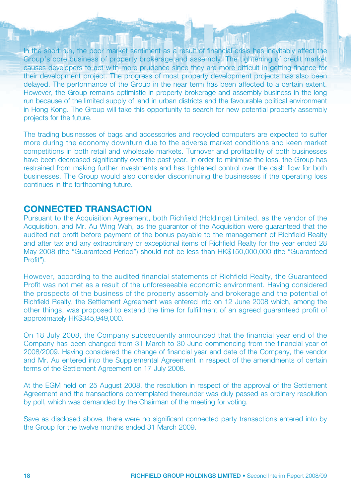In the short run, the poor market sentiment as a result of financial crisis has inevitably affect the Group's core business of property brokerage and assembly. The tightening of credit market causes developers to act with more prudence since they are more difficult in getting finance for their development project. The progress of most property development projects has also been delayed. The performance of the Group in the near term has been affected to a certain extent. However, the Group remains optimistic in property brokerage and assembly business in the long run because of the limited supply of land in urban districts and the favourable political environment in Hong Kong. The Group will take this opportunity to search for new potential property assembly projects for the future.

The trading businesses of bags and accessories and recycled computers are expected to suffer more during the economy downturn due to the adverse market conditions and keen market competitions in both retail and wholesale markets. Turnover and profitability of both businesses have been decreased significantly over the past year. In order to minimise the loss, the Group has restrained from making further investments and has tightened control over the cash flow for both businesses. The Group would also consider discontinuing the businesses if the operating loss continues in the forthcoming future.

## **CONNECTED TRANSACTION**

Pursuant to the Acquisition Agreement, both Richfield (Holdings) Limited, as the vendor of the Acquisition, and Mr. Au Wing Wah, as the guarantor of the Acquisition were guaranteed that the audited net profit before payment of the bonus payable to the management of Richfield Realty and after tax and any extraordinary or exceptional items of Richfield Realty for the year ended 28 May 2008 (the "Guaranteed Period") should not be less than HK\$150,000,000 (the "Guaranteed Profit").

However, according to the audited financial statements of Richfield Realty, the Guaranteed Profit was not met as a result of the unforeseeable economic environment. Having considered the prospects of the business of the property assembly and brokerage and the potential of Richfield Realty, the Settlement Agreement was entered into on 12 June 2008 which, among the other things, was proposed to extend the time for fulfillment of an agreed guaranteed profit of approximately HK\$345,949,000.

On 18 July 2008, the Company subsequently announced that the financial year end of the Company has been changed from 31 March to 30 June commencing from the financial year of 2008/2009. Having considered the change of financial year end date of the Company, the vendor and Mr. Au entered into the Supplemental Agreement in respect of the amendments of certain terms of the Settlement Agreement on 17 July 2008.

At the EGM held on 25 August 2008, the resolution in respect of the approval of the Settlement Agreement and the transactions contemplated thereunder was duly passed as ordinary resolution by poll, which was demanded by the Chairman of the meeting for voting.

Save as disclosed above, there were no significant connected party transactions entered into by the Group for the twelve months ended 31 March 2009.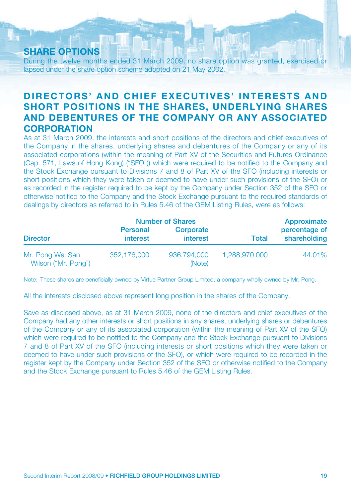## **SHARE OPTIONS**

During the twelve months ended 31 March 2009, no share option was granted, exercised or lapsed under the share option scheme adopted on 21 May 2002.

## **DIRECTORS' AND CHIEF EXECUTIVES' INTERESTS AND SHORT POSITIONS IN THE SHARES, UNDERLYING SHARES AND DEBENTURES OF THE COMPANY OR ANY ASSOCIATED CORPORATION**

As at 31 March 2009, the interests and short positions of the directors and chief executives of the Company in the shares, underlying shares and debentures of the Company or any of its associated corporations (within the meaning of Part XV of the Securities and Futures Ordinance (Cap. 571, Laws of Hong Kong) ("SFO")) which were required to be notified to the Company and the Stock Exchange pursuant to Divisions 7 and 8 of Part XV of the SFO (including interests or short positions which they were taken or deemed to have under such provisions of the SFO) or as recorded in the register required to be kept by the Company under Section 352 of the SFO or otherwise notified to the Company and the Stock Exchange pursuant to the required standards of dealings by directors as referred to in Rules 5.46 of the GEM Listing Rules, were as follows:

|                                          |                             | <b>Number of Shares</b>      |               | Approximate                   |
|------------------------------------------|-----------------------------|------------------------------|---------------|-------------------------------|
| <b>Director</b>                          | Personal<br><b>interest</b> | Corporate<br><i>interest</i> | <b>Total</b>  | percentage of<br>shareholding |
| Mr. Pong Wai San,<br>Wilson ("Mr. Pong") | 352.176,000                 | 936,794,000<br>(Note)        | 1.288,970,000 | 44.01%                        |

Note: These shares are beneficially owned by Virtue Partner Group Limited, a company wholly owned by Mr. Pong.

All the interests disclosed above represent long position in the shares of the Company.

Save as disclosed above, as at 31 March 2009, none of the directors and chief executives of the Company had any other interests or short positions in any shares, underlying shares or debentures of the Company or any of its associated corporation (within the meaning of Part XV of the SFO) which were required to be notified to the Company and the Stock Exchange pursuant to Divisions 7 and 8 of Part XV of the SFO (including interests or short positions which they were taken or deemed to have under such provisions of the SFO), or which were required to be recorded in the register kept by the Company under Section 352 of the SFO or otherwise notified to the Company and the Stock Exchange pursuant to Rules 5.46 of the GEM Listing Rules.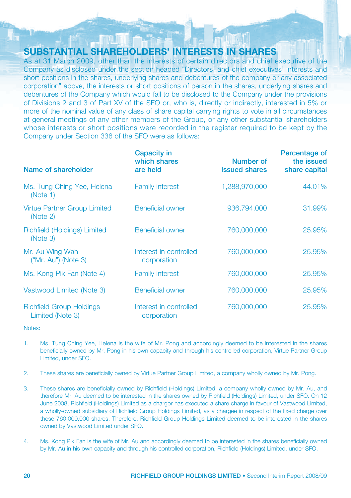## **SUBSTANTIAL SHAREHOLDERS' INTERESTS IN SHARES**

As at 31 March 2009, other than the interests of certain directors and chief executive of the Company as disclosed under the section headed "Directors' and chief executives' interests and short positions in the shares, underlying shares and debentures of the company or any associated corporation" above, the interests or short positions of person in the shares, underlying shares and debentures of the Company which would fall to be disclosed to the Company under the provisions of Divisions 2 and 3 of Part XV of the SFO or, who is, directly or indirectly, interested in 5% or more of the nominal value of any class of share capital carrying rights to vote in all circumstances at general meetings of any other members of the Group, or any other substantial shareholders whose interests or short positions were recorded in the register required to be kept by the Company under Section 336 of the SFO were as follows:

| Name of shareholder                                 | <b>Capacity in</b><br>which shares<br>are held | Number of<br><b>issued shares</b> | Percentage of<br>the issued<br>share capital |
|-----------------------------------------------------|------------------------------------------------|-----------------------------------|----------------------------------------------|
| Ms. Tung Ching Yee, Helena<br>(Note 1)              | <b>Family interest</b>                         | 1.288.970.000                     | 44.01%                                       |
| <b>Virtue Partner Group Limited</b><br>(Note 2)     | Beneficial owner                               | 936,794,000                       | 31.99%                                       |
| Richfield (Holdings) Limited<br>(Note 3)            | <b>Beneficial owner</b>                        | 760,000,000                       | 25,95%                                       |
| Mr. Au Wing Wah<br>$('Mr. Au")$ (Note 3)            | Interest in controlled<br>corporation          | 760,000,000                       | 25,95%                                       |
| Ms. Kong Pik Fan (Note 4)                           | <b>Family interest</b>                         | 760,000,000                       | 25,95%                                       |
| Vastwood Limited (Note 3)                           | <b>Beneficial owner</b>                        | 760,000,000                       | 25,95%                                       |
| <b>Richfield Group Holdings</b><br>Limited (Note 3) | Interest in controlled<br>corporation          | 760,000,000                       | 25,95%                                       |

Notes:

- 1. Ms. Tung Ching Yee, Helena is the wife of Mr. Pong and accordingly deemed to be interested in the shares beneficially owned by Mr. Pong in his own capacity and through his controlled corporation, Virtue Partner Group Limited, under SFO.
- 2. These shares are beneficially owned by Virtue Partner Group Limited, a company wholly owned by Mr. Pong.
- 3. These shares are beneficially owned by Richfield (Holdings) Limited, a company wholly owned by Mr. Au, and therefore Mr. Au deemed to be interested in the shares owned by Richfield (Holdings) Limited, under SFO. On 12 June 2008, Richfield (Holdings) Limited as a chargor has executed a share charge in favour of Vastwood Limited, a wholly-owned subsidiary of Richfield Group Holdings Limited, as a chargee in respect of the fixed charge over these 760,000,000 shares. Therefore, Richfield Group Holdings Limited deemed to be interested in the shares owned by Vastwood Limited under SFO.
- 4. Ms. Kong Pik Fan is the wife of Mr. Au and accordingly deemed to be interested in the shares beneficially owned by Mr. Au in his own capacity and through his controlled corporation, Richfield (Holdings) Limited, under SFO.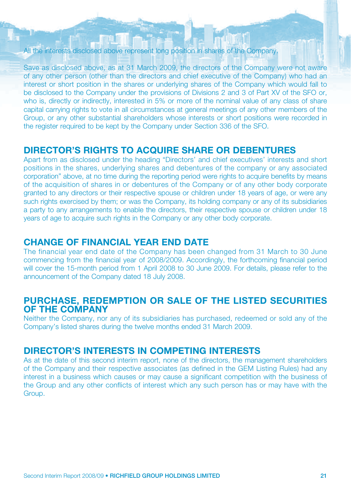#### All the interests disclosed above represent long position in shares of the Company.

Save as disclosed above, as at 31 March 2009, the directors of the Company were not aware of any other person (other than the directors and chief executive of the Company) who had an interest or short position in the shares or underlying shares of the Company which would fall to be disclosed to the Company under the provisions of Divisions 2 and 3 of Part XV of the SFO or, who is, directly or indirectly, interested in 5% or more of the nominal value of any class of share capital carrying rights to vote in all circumstances at general meetings of any other members of the Group, or any other substantial shareholders whose interests or short positions were recorded in the register required to be kept by the Company under Section 336 of the SFO.

## **DIRECTOR'S RIGHTS TO ACQUIRE SHARE OR DEBENTURES**

Apart from as disclosed under the heading "Directors' and chief executives' interests and short positions in the shares, underlying shares and debentures of the company or any associated corporation" above, at no time during the reporting period were rights to acquire benefits by means of the acquisition of shares in or debentures of the Company or of any other body corporate granted to any directors or their respective spouse or children under 18 years of age, or were any such rights exercised by them; or was the Company, its holding company or any of its subsidiaries a party to any arrangements to enable the directors, their respective spouse or children under 18 years of age to acquire such rights in the Company or any other body corporate.

## **CHANGE OF FINANCIAL YEAR END DATE**

The financial year end date of the Company has been changed from 31 March to 30 June commencing from the financial year of 2008/2009. Accordingly, the forthcoming financial period will cover the 15-month period from 1 April 2008 to 30 June 2009. For details, please refer to the announcement of the Company dated 18 July 2008.

#### **PURCHASE, REDEMPTION OR SALE OF THE LISTED SECURITIES OF THE COMPANY**

Neither the Company, nor any of its subsidiaries has purchased, redeemed or sold any of the Company's listed shares during the twelve months ended 31 March 2009.

#### **DIRECTOR'S INTERESTS IN COMPETING INTERESTS**

As at the date of this second interim report, none of the directors, the management shareholders of the Company and their respective associates (as defined in the GEM Listing Rules) had any interest in a business which causes or may cause a significant competition with the business of the Group and any other conflicts of interest which any such person has or may have with the Group.